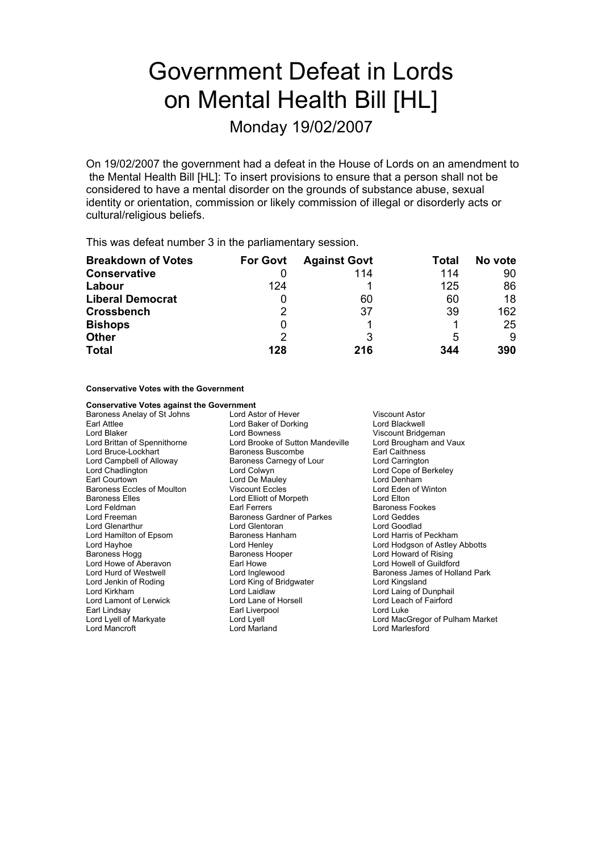# Government Defeat in Lords on Mental Health Bill [HL]

Monday 19/02/2007

On 19/02/2007 the government had a defeat in the House of Lords on an amendment to the Mental Health Bill [HL]: To insert provisions to ensure that a person shall not be considered to have a mental disorder on the grounds of substance abuse, sexual identity or orientation, commission or likely commission of illegal or disorderly acts or cultural/religious beliefs.

This was defeat number 3 in the parliamentary session.

| <b>Breakdown of Votes</b> | <b>For Govt</b> | <b>Against Govt</b> | Total | No vote |
|---------------------------|-----------------|---------------------|-------|---------|
| <b>Conservative</b>       |                 | 114                 | 114   | 90      |
| Labour                    | 124             |                     | 125   | 86      |
| <b>Liberal Democrat</b>   |                 | 60                  | 60    | 18      |
| <b>Crossbench</b>         | 2               | 37                  | 39    | 162     |
| <b>Bishops</b>            |                 |                     |       | 25      |
| <b>Other</b>              | 2               |                     | 5     | 9       |
| <b>Total</b>              | 128             | 216                 | 344   | 390     |

**Conservative Votes with the Government**

| <b>Conservative Votes against the Government</b> |                                                            |                                 |  |
|--------------------------------------------------|------------------------------------------------------------|---------------------------------|--|
| Baroness Anelay of St Johns                      | Lord Astor of Hever                                        | <b>Viscount Astor</b>           |  |
| Earl Attlee                                      | Lord Baker of Dorking                                      | Lord Blackwell                  |  |
| Lord Blaker                                      | Lord Bowness<br>Viscount Bridgeman                         |                                 |  |
| Lord Brittan of Spennithorne                     | Lord Brooke of Sutton Mandeville<br>Lord Brougham and Vaux |                                 |  |
| Lord Bruce-Lockhart                              | Baroness Buscombe                                          | <b>Earl Caithness</b>           |  |
| Lord Campbell of Alloway                         | Baroness Carnegy of Lour                                   | Lord Carrington                 |  |
| Lord Chadlington                                 | Lord Colwyn                                                | Lord Cope of Berkeley           |  |
| Earl Courtown                                    | Lord De Mauley                                             | Lord Denham                     |  |
| Baroness Eccles of Moulton                       | <b>Viscount Eccles</b>                                     | Lord Eden of Winton             |  |
| <b>Baroness Elles</b>                            | Lord Elliott of Morpeth                                    | Lord Elton                      |  |
| Lord Feldman                                     | Earl Ferrers                                               | <b>Baroness Fookes</b>          |  |
| Lord Freeman                                     | Baroness Gardner of Parkes                                 | Lord Geddes                     |  |
| <b>Lord Glenarthur</b>                           | Lord Glentoran                                             | Lord Goodlad                    |  |
| Lord Hamilton of Epsom                           | Baroness Hanham                                            | Lord Harris of Peckham          |  |
| Lord Hayhoe                                      | Lord Henley                                                | Lord Hodgson of Astley Abbotts  |  |
| Baroness Hogg                                    | Baroness Hooper                                            | Lord Howard of Rising           |  |
| Lord Howe of Aberavon                            | Earl Howe                                                  | Lord Howell of Guildford        |  |
| Lord Hurd of Westwell                            | Lord Inglewood                                             | Baroness James of Holland Park  |  |
| Lord Jenkin of Roding                            | Lord King of Bridgwater                                    | Lord Kingsland                  |  |
| Lord Kirkham                                     | Lord Laidlaw                                               | Lord Laing of Dunphail          |  |
| Lord Lamont of Lerwick                           | Lord Lane of Horsell                                       | Lord Leach of Fairford          |  |
| Earl Lindsay                                     | Earl Liverpool                                             | Lord Luke                       |  |
| Lord Lyell of Markyate                           | Lord Lyell                                                 | Lord MacGregor of Pulham Market |  |
| Lord Mancroft                                    | Lord Marland                                               | I ord Marlesford                |  |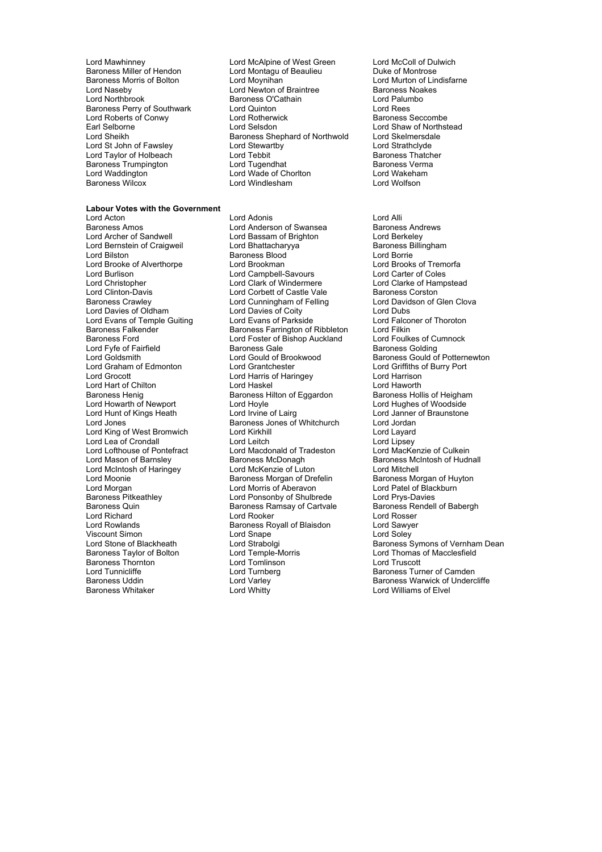- Baroness Miller of Hendon Lord Montagu on Baroness Morris of Bolton Corp. Lord Movnihan
- Lord Mawhinney **Lord McAlpine of West Green** Lord McColl of Dulwich<br>
Baroness Miller of Hendon Lord Montagu of Beaulieu **Duke of Montrose** Lord Naseby **Lord Newton of Braintree** Baroness Noakes Lord Newton of Braintree Baroness Noakes Lord Palumbo<br>
Lord Northbrook **Baroness O'Cathain Baroness O'Cathain** Lord Palum<br>
Lord Quinton Lord Rees Baroness Perry of Southwark Lord Quinton Lord Rees Lord Roberts of Conwy **Lord Rotherwick** combe combe combe baroness Seccombe Earl Selborne **Example 2** Lord Selsdon **Lord Selsdon** Lord Shaw of Northstead<br>
Lord Sheikh Baroness Shephard of Northwold Lord Skelmersdale Lord Sheikh Baroness Shephard of Northwold Lord Skelmersdale<br>
Lord St Lord Stewartby Lord Strathclyde<br>
Lord Strathclyde Lord St John of Fawsley Lord Stewartby Lord Stewar Lord Strathclyde<br>
Lord Taylor of Holbeach Lord Tebbit Lord Tebbit Baroness Thatcher Lord Taylor of Holbeach Lord Tebbit Cord Tebbit Baroness Thatch<br>
Baroness Trumpington Lord Tugendhat Corness Verma Baroness Trumpington **Example 2** Lord Tugendhat **Baroness Verman Baroness Verman Report Constant** Lord Wakeham<br>
Lord Waddington **Constant Lord Water Constant Constant Lord Wakeham** Lord Waddington **Communist Constructed Lord Waddington Constructed Lord Wakeha**<br>
Lord Windlesham **Communist Communist Constructed Windlesham** Lord Wolfson Lord Windlesham

**Labour Votes with the Government** Lord Acton **Lord Acton** Lord Adonis **Lord Acton** Lord Alli<br>
Baroness Amos **Lord Anderson of Swansea** Baroness Andrews Baroness Amos<br>
Lord Anderson of Swansea<br>
Lord Archer of Sandwell<br>
Lord Bassam of Brighton<br>
Lord Berkelev Lord Bernstein of Craigweil Lord Bilston **Lord Baroness Blood** Lord Borrie<br>
Lord Brooke of Alverthorpe Lord Brookman Lord Brook Brooks of Tremorfa Lord Brooke of Alverthorpe **f Lord Brookman** Lord Brooks of Tremorfan Lord Brooks of Tremorfan Lord Brooks of Tremorfan Lord Brooks of Tremorfan Lord Brooks of Tremorfan Lord Brooks of Tremorfan Lord Brooks and Lord Carter Lord Burlison Lord Campbell-Savours<br>
Lord Christopher Lord Clark of Windermere Lord Christopher **Lord Clark of Windermere** Lord Clarke of Hampstead<br>
Lord Clinton-Davis **Lord Corbett of Castle Vale** Baroness Corston Lord Clinton-Davis **Lord Corbett of Castle Vale**<br>
Baroness Crawley **Lord Cunningham of Felling** Lord Davies of Oldham Lord Davies of Coity<br>
Lord Evans of Temple Guiting Lord Evans of Parkside Lord Evans of Temple Guiting Lord Evans of Parkside Lord Evans Lord Falconer of Thoroton<br>
Baroness Falkender Baroness Farrington of Ribbleton Lord Filkin Baroness Falkender **Baroness Farrington of Ribbleton** Lord Filkin<br>Baroness Ford Baroness Farrington Core Lord Foster of Bishop Auckland Lord Foulkes of Cumnock Lord Fyfe of Fairfield **Rand Baroness Gale** Lord Graham of Edmonton Lord Grantchester **Lord Grantchester** Lord Griffiths of Haris of Haringev<br>
Lord Grocott **Port Corporation**<br>
Lord Haris of Haringev Lord Hart of Chilton **Lord Hart Conduct 1** Lord Haskel Lord Haworth Lord Haworth<br>Baroness Henig **Baroness Henigham** Baroness Hilton of Eggardon Baroness Hollis of Heigham Exercise Henig<br>
Lord Howarth of Newport<br>
Lord Hoyle Lord Hoyle Lord Hoyle Lord Hughes of Woodside<br>
Lord Hunt of Kings Heath Lord Irvine of Lairg<br>
Lord Hoyle Lord Janner of Braunstone Lord Hunt of Kings Heath Lord Jones Baroness Jones of Whitchurch Lord Jordan Lord King of West Bromwich Lord Kirkhill Lord Layard Lord Lea of Crondall Lord Leitch<br>
Lord Lofthouse of Pontefract Lord Macdonald of Tradeston Lord Lofthouse of Pontefract Lord Macdonald of Tradeston Lord MacKenzie of Culkein<br>Lord Mason of Barnsley Baroness McDonagh Baroness McIntosh of Hudr Lord McIntosh of Haringey Lord McKenzie of Luton Lord Mitchell Lord Moonie **Example 2.1 Exercise Baroness Morgan of Drefelin** Baroness Morgan of Huyton Baroness Morgan of Huyt<br>Baroness Morgan Lord Mortoness Morgan of Aberavon Lord Patel of Blackburn Lord Morgan Lord Morris of Aberavon Lord Patel of Blackburn Lord Patel of Blackburn Lord Prives-Davies<br>
Lord Ponsonby of Shulbrede Lord Prys-Davies Baroness Pitkeathley Lord Ponsonby of Shulbrede Lord Prys-Davies Lord Richard **Lord Richard Lord Rooker** Lord Rosser<br>
Lord Rowlands **Lord Rooker Lord Rowlands**<br>
Baroness Royall of Blaisdon Lord Sawyer Viscount Simon Lord Snape Lord Soley Baroness Taylor of Bolton **Lord Temple-Morris** Lord Thomas of Macclesfield<br>
Baroness Thornton **Reserves** Lord Tomlinson **Lord Truscott** Lord Truscott Baroness Thornton and Lord Tomlinson<br>Lord Tunnicliffe and Lord Turnberg Lord Tunnicliffe and Lord Turnberg and Turnberg and Baroness Turner of Camden<br>
Baroness Uddin and Lord Varley Corp. Baroness Warwick of Underc Baroness Uddin **Baroness Uddin** Lord Varley **Baroness Warwick of Undercliffe**<br>
Baroness Whitaker **Baroness Whitaker** Lord Whitty **College Lord Williams of Elvel** 

Lord Bassam of Brighton Lord Berkeley<br>
Lord Bhattacharyya **Baroness** Billingham Lord Cunningham of Felling Lord Davidson of Glen Clova<br>
Lord Davies of Coity Lord Dubs Lord Foster of Bishop Auckland in Lord Foulkes of Cumnocks Gale in Baroness Golding Lord Harris of Haringey Baroness Hilton of Eggardon Baroness Hollis of Heighar<br>
Lord Hovle Lord Huahes of Woodside Exampless McDonagh **Baroness McIntosh of Hudnall**<br> **Lord McKenzie of Luton Baroness McIntosh Lord Mitchell** Baroness Ramsay of Cartvale Baroness Rendell Baroness Rendell Baroness Rendell Baroness Rendell Baroness Rendell Baroness Rendell Baroness Rendell Baroness Rendell Baroness Rendell Baroness Rendell Baroness Rendell Barones Baroness Royall of Blaisdon

Lord Murton of Lindisfarne<br>Baroness Noakes

Lord Goldsmith **Lord Gould of Brookwood** Baroness Gould of Potternewton<br>
Lord Graham of Edmonton Lord Grantchester **Lord Graham of Edmonton** Lord Strabolgi **Channess Symons of Vernham Dean**<br>
Lord Temple-Morris **Channes Baroness Symons of Macclesfield** Lord Williams of Elvel